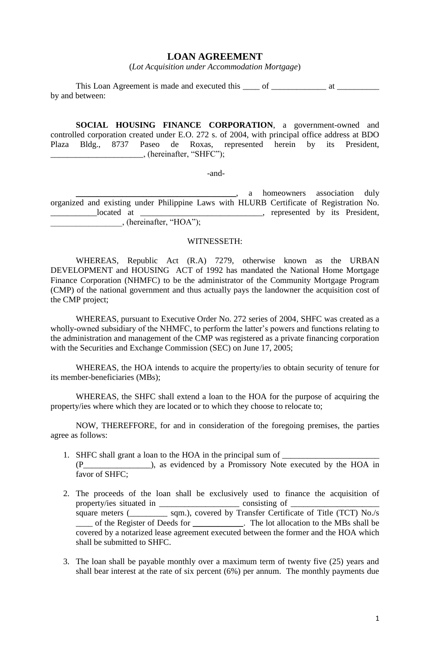## **LOAN AGREEMENT**

(*Lot Acquisition under Accommodation Mortgage*)

This Loan Agreement is made and executed this \_\_\_\_ of \_\_\_\_\_\_\_\_\_\_\_\_\_\_ at \_\_\_\_\_\_\_\_\_\_\_\_\_\_ by and between:

**SOCIAL HOUSING FINANCE CORPORATION**, a government-owned and controlled corporation created under E.O. 272 s. of 2004, with principal office address at BDO Plaza Bldg., 8737 Paseo de Roxas, represented herein by its President, \_\_\_\_\_\_\_\_\_\_\_\_\_\_\_\_\_\_\_\_\_\_, (hereinafter, "SHFC");

-and-

 $\Box$ , a homeowners association duly organized and existing under Philippine Laws with HLURB Certificate of Registration No. \_\_\_\_\_\_\_\_\_\_\_located at \_\_\_\_\_\_\_\_\_\_\_\_\_\_\_\_\_\_\_\_\_\_\_\_\_\_\_\_\_, represented by its President,  $,$  (hereinafter, "HOA");

#### WITNESSETH:

WHEREAS, Republic Act (R.A) 7279, otherwise known as the URBAN DEVELOPMENT and HOUSING ACT of 1992 has mandated the National Home Mortgage Finance Corporation (NHMFC) to be the administrator of the Community Mortgage Program (CMP) of the national government and thus actually pays the landowner the acquisition cost of the CMP project;

WHEREAS, pursuant to Executive Order No. 272 series of 2004, SHFC was created as a wholly-owned subsidiary of the NHMFC, to perform the latter's powers and functions relating to the administration and management of the CMP was registered as a private financing corporation with the Securities and Exchange Commission (SEC) on June 17, 2005;

WHEREAS, the HOA intends to acquire the property/ies to obtain security of tenure for its member-beneficiaries (MBs);

WHEREAS, the SHFC shall extend a loan to the HOA for the purpose of acquiring the property/ies where which they are located or to which they choose to relocate to;

NOW, THEREFFORE, for and in consideration of the foregoing premises, the parties agree as follows:

- 1. SHFC shall grant a loan to the HOA in the principal sum of \_\_\_\_\_\_\_\_\_\_\_\_\_\_\_\_\_\_\_ (P\_\_\_\_\_\_\_\_\_\_\_\_\_\_\_\_), as evidenced by a Promissory Note executed by the HOA in favor of SHFC;
- 2. The proceeds of the loan shall be exclusively used to finance the acquisition of property/ies situated in \_\_\_\_\_\_\_\_\_\_\_\_\_\_\_\_\_\_\_ consisting of \_\_\_\_\_\_\_\_\_\_\_\_\_\_\_\_\_\_\_\_\_ square meters (see also square meters (see also square meters (see also square meters ). Solved by Transfer Certificate of Title (TCT) No./s \_\_\_\_ of the Register of Deeds for \_\_\_\_\_\_\_\_\_\_\_\_. The lot allocation to the MBs shall be covered by a notarized lease agreement executed between the former and the HOA which shall be submitted to SHFC.
- 3. The loan shall be payable monthly over a maximum term of twenty five (25) years and shall bear interest at the rate of six percent (6%) per annum. The monthly payments due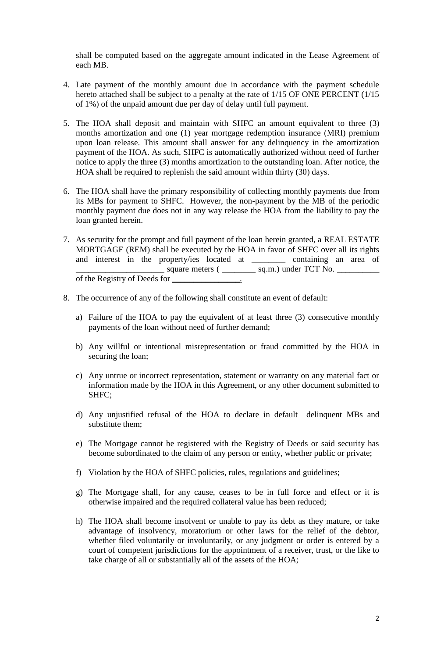shall be computed based on the aggregate amount indicated in the Lease Agreement of each MB.

- 4. Late payment of the monthly amount due in accordance with the payment schedule hereto attached shall be subject to a penalty at the rate of  $1/15$  OF ONE PERCENT ( $1/15$ of 1%) of the unpaid amount due per day of delay until full payment.
- 5. The HOA shall deposit and maintain with SHFC an amount equivalent to three (3) months amortization and one (1) year mortgage redemption insurance (MRI) premium upon loan release. This amount shall answer for any delinquency in the amortization payment of the HOA. As such, SHFC is automatically authorized without need of further notice to apply the three (3) months amortization to the outstanding loan. After notice, the HOA shall be required to replenish the said amount within thirty (30) days.
- 6. The HOA shall have the primary responsibility of collecting monthly payments due from its MBs for payment to SHFC. However, the non-payment by the MB of the periodic monthly payment due does not in any way release the HOA from the liability to pay the loan granted herein.
- 7. As security for the prompt and full payment of the loan herein granted, a REAL ESTATE MORTGAGE (REM) shall be executed by the HOA in favor of SHFC over all its rights and interest in the property/ies located at \_\_\_\_\_\_\_\_ containing an area of  $\Box$  square meters (  $\Box$  sq.m.) under TCT No.  $\Box$ of the Registry of Deeds for \_\_\_\_\_\_\_\_\_\_\_\_\_\_\_\_.
- 8. The occurrence of any of the following shall constitute an event of default:
	- a) Failure of the HOA to pay the equivalent of at least three (3) consecutive monthly payments of the loan without need of further demand;
	- b) Any willful or intentional misrepresentation or fraud committed by the HOA in securing the loan;
	- c) Any untrue or incorrect representation, statement or warranty on any material fact or information made by the HOA in this Agreement, or any other document submitted to SHFC;
	- d) Any unjustified refusal of the HOA to declare in default delinquent MBs and substitute them;
	- e) The Mortgage cannot be registered with the Registry of Deeds or said security has become subordinated to the claim of any person or entity, whether public or private;
	- f) Violation by the HOA of SHFC policies, rules, regulations and guidelines;
	- g) The Mortgage shall, for any cause, ceases to be in full force and effect or it is otherwise impaired and the required collateral value has been reduced;
	- h) The HOA shall become insolvent or unable to pay its debt as they mature, or take advantage of insolvency, moratorium or other laws for the relief of the debtor, whether filed voluntarily or involuntarily, or any judgment or order is entered by a court of competent jurisdictions for the appointment of a receiver, trust, or the like to take charge of all or substantially all of the assets of the HOA;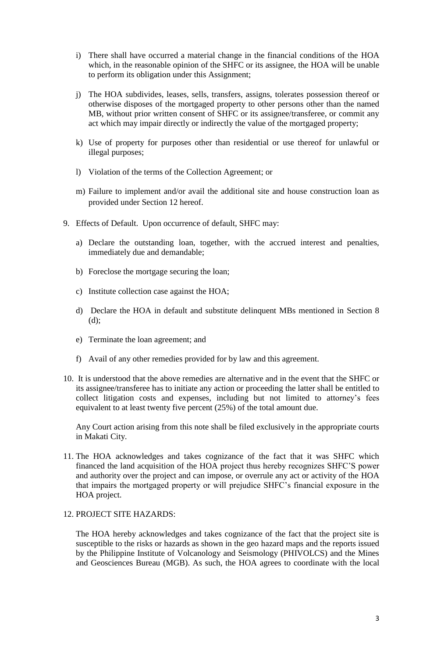- i) There shall have occurred a material change in the financial conditions of the HOA which, in the reasonable opinion of the SHFC or its assignee, the HOA will be unable to perform its obligation under this Assignment;
- j) The HOA subdivides, leases, sells, transfers, assigns, tolerates possession thereof or otherwise disposes of the mortgaged property to other persons other than the named MB, without prior written consent of SHFC or its assignee/transferee, or commit any act which may impair directly or indirectly the value of the mortgaged property;
- k) Use of property for purposes other than residential or use thereof for unlawful or illegal purposes;
- l) Violation of the terms of the Collection Agreement; or
- m) Failure to implement and/or avail the additional site and house construction loan as provided under Section 12 hereof.
- 9. Effects of Default. Upon occurrence of default, SHFC may:
	- a) Declare the outstanding loan, together, with the accrued interest and penalties, immediately due and demandable;
	- b) Foreclose the mortgage securing the loan;
	- c) Institute collection case against the HOA;
	- d) Declare the HOA in default and substitute delinquent MBs mentioned in Section 8 (d);
	- e) Terminate the loan agreement; and
	- f) Avail of any other remedies provided for by law and this agreement.
- 10. It is understood that the above remedies are alternative and in the event that the SHFC or its assignee/transferee has to initiate any action or proceeding the latter shall be entitled to collect litigation costs and expenses, including but not limited to attorney's fees equivalent to at least twenty five percent (25%) of the total amount due.

Any Court action arising from this note shall be filed exclusively in the appropriate courts in Makati City.

11. The HOA acknowledges and takes cognizance of the fact that it was SHFC which financed the land acquisition of the HOA project thus hereby recognizes SHFC'S power and authority over the project and can impose, or overrule any act or activity of the HOA that impairs the mortgaged property or will prejudice SHFC's financial exposure in the HOA project.

## 12. PROJECT SITE HAZARDS:

The HOA hereby acknowledges and takes cognizance of the fact that the project site is susceptible to the risks or hazards as shown in the geo hazard maps and the reports issued by the Philippine Institute of Volcanology and Seismology (PHIVOLCS) and the Mines and Geosciences Bureau (MGB). As such, the HOA agrees to coordinate with the local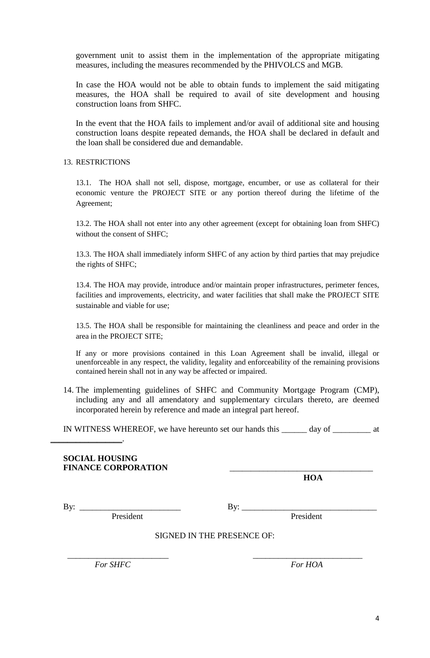government unit to assist them in the implementation of the appropriate mitigating measures, including the measures recommended by the PHIVOLCS and MGB.

In case the HOA would not be able to obtain funds to implement the said mitigating measures, the HOA shall be required to avail of site development and housing construction loans from SHFC.

In the event that the HOA fails to implement and/or avail of additional site and housing construction loans despite repeated demands, the HOA shall be declared in default and the loan shall be considered due and demandable.

#### 13. RESTRICTIONS

13.1. The HOA shall not sell, dispose, mortgage, encumber, or use as collateral for their economic venture the PROJECT SITE or any portion thereof during the lifetime of the Agreement;

13.2. The HOA shall not enter into any other agreement (except for obtaining loan from SHFC) without the consent of SHFC;

13.3. The HOA shall immediately inform SHFC of any action by third parties that may prejudice the rights of SHFC;

13.4. The HOA may provide, introduce and/or maintain proper infrastructures, perimeter fences, facilities and improvements, electricity, and water facilities that shall make the PROJECT SITE sustainable and viable for use;

13.5. The HOA shall be responsible for maintaining the cleanliness and peace and order in the area in the PROJECT SITE;

If any or more provisions contained in this Loan Agreement shall be invalid, illegal or unenforceable in any respect, the validity, legality and enforceability of the remaining provisions contained herein shall not in any way be affected or impaired.

14. The implementing guidelines of SHFC and Community Mortgage Program (CMP), including any and all amendatory and supplementary circulars thereto, are deemed incorporated herein by reference and made an integral part hereof.

IN WITNESS WHEREOF, we have hereunto set our hands this \_\_\_\_\_\_ day of \_\_\_\_\_\_\_\_\_ at

### **SOCIAL HOUSING**  FINANCE CORPORATION

**HOA**

 $\mathcal{L}_\text{max}$  . The set of the set of the set of the set of the set of the set of the set of the set of the set of the set of the set of the set of the set of the set of the set of the set of the set of the set of the set

By: \_\_\_\_\_\_\_\_\_\_\_\_\_\_\_\_\_\_\_\_\_\_\_\_ By: \_\_\_\_\_\_\_\_\_\_\_\_\_\_\_\_\_\_\_\_\_\_\_\_\_\_\_\_\_\_\_\_

President President

SIGNED IN THE PRESENCE OF:

 $\overline{\phantom{a}}$  ,  $\overline{\phantom{a}}$  ,  $\overline{\phantom{a}}$  ,  $\overline{\phantom{a}}$  ,  $\overline{\phantom{a}}$  ,  $\overline{\phantom{a}}$  ,  $\overline{\phantom{a}}$  ,  $\overline{\phantom{a}}$  ,  $\overline{\phantom{a}}$  ,  $\overline{\phantom{a}}$  ,  $\overline{\phantom{a}}$  ,  $\overline{\phantom{a}}$  ,  $\overline{\phantom{a}}$  ,  $\overline{\phantom{a}}$  ,  $\overline{\phantom{a}}$  ,  $\overline{\phantom{a}}$ *For SHFC For HOA*